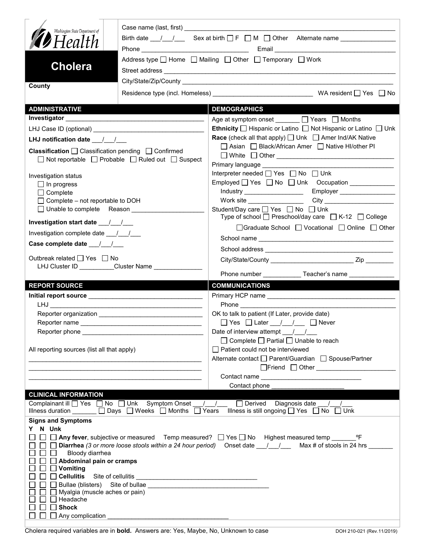| Washington State Department of<br><b>D</b> Health<br><b>Cholera</b>                                                                                    |                                                     | Birth date $\frac{1}{\sqrt{2}}$ Sex at birth $\Box$ F $\Box$ M $\Box$ Other Alternate name<br>Address type $\Box$ Home $\Box$ Mailing $\Box$ Other $\Box$ Temporary $\Box$ Work                              |  |  |  |  |
|--------------------------------------------------------------------------------------------------------------------------------------------------------|-----------------------------------------------------|--------------------------------------------------------------------------------------------------------------------------------------------------------------------------------------------------------------|--|--|--|--|
|                                                                                                                                                        |                                                     |                                                                                                                                                                                                              |  |  |  |  |
| County                                                                                                                                                 |                                                     |                                                                                                                                                                                                              |  |  |  |  |
| <b>ADMINISTRATIVE</b>                                                                                                                                  |                                                     | <b>DEMOGRAPHICS</b>                                                                                                                                                                                          |  |  |  |  |
| <b>Investigator Exercise 2020</b>                                                                                                                      |                                                     | Age at symptom onset <u>January D</u> Years D Months                                                                                                                                                         |  |  |  |  |
|                                                                                                                                                        |                                                     | <b>Ethnicity</b> $\Box$ Hispanic or Latino $\Box$ Not Hispanic or Latino $\Box$ Unk                                                                                                                          |  |  |  |  |
| LHJ notification date $\frac{1}{\sqrt{2}}$                                                                                                             |                                                     | <b>Race</b> (check all that apply) $\Box$ Unk $\Box$ Amer Ind/AK Native                                                                                                                                      |  |  |  |  |
| Classification □ Classification pending □ Confirmed                                                                                                    | □ Not reportable □ Probable □ Ruled out □ Suspect   | □ Asian □ Black/African Amer □ Native HI/other PI<br>Primary language Manuscriptus and the Primary language                                                                                                  |  |  |  |  |
|                                                                                                                                                        |                                                     | Interpreter needed [ Yes   No   Unk                                                                                                                                                                          |  |  |  |  |
| Investigation status<br>$\Box$ In progress                                                                                                             |                                                     |                                                                                                                                                                                                              |  |  |  |  |
| $\Box$ Complete                                                                                                                                        |                                                     |                                                                                                                                                                                                              |  |  |  |  |
| $\Box$ Complete – not reportable to DOH                                                                                                                |                                                     |                                                                                                                                                                                                              |  |  |  |  |
| □ Unable to complete Reason                                                                                                                            |                                                     | Student/Day care <u>Sine Student</u> /Day on Bossey on Bossey<br>Type of school $\Box$ Preschool/day care $\Box$ K-12 $\Box$ College                                                                         |  |  |  |  |
| Investigation start date 11                                                                                                                            |                                                     | □Graduate School □ Vocational □ Online □ Other                                                                                                                                                               |  |  |  |  |
| Investigation complete date 11/1                                                                                                                       |                                                     |                                                                                                                                                                                                              |  |  |  |  |
| Case complete date __/_/__/                                                                                                                            |                                                     |                                                                                                                                                                                                              |  |  |  |  |
| Outbreak related □ Yes □ No                                                                                                                            |                                                     |                                                                                                                                                                                                              |  |  |  |  |
|                                                                                                                                                        | LHJ Cluster ID _________Cluster Name ______________ | Phone number ______________Teacher's name _______________                                                                                                                                                    |  |  |  |  |
| <b>REPORT SOURCE</b>                                                                                                                                   |                                                     | <b>COMMUNICATIONS</b>                                                                                                                                                                                        |  |  |  |  |
|                                                                                                                                                        |                                                     |                                                                                                                                                                                                              |  |  |  |  |
|                                                                                                                                                        |                                                     |                                                                                                                                                                                                              |  |  |  |  |
|                                                                                                                                                        |                                                     | OK to talk to patient (If Later, provide date)                                                                                                                                                               |  |  |  |  |
|                                                                                                                                                        |                                                     | □ Yes □ Later __/ _/ __ □ Never                                                                                                                                                                              |  |  |  |  |
|                                                                                                                                                        |                                                     |                                                                                                                                                                                                              |  |  |  |  |
|                                                                                                                                                        |                                                     | $\Box$ Complete $\Box$ Partial $\Box$ Unable to reach<br>□ Patient could not be interviewed                                                                                                                  |  |  |  |  |
| All reporting sources (list all that apply)                                                                                                            |                                                     | Alternate contact<br>□ Parent/Guardian<br>□ Spouse/Partner                                                                                                                                                   |  |  |  |  |
|                                                                                                                                                        |                                                     |                                                                                                                                                                                                              |  |  |  |  |
|                                                                                                                                                        |                                                     |                                                                                                                                                                                                              |  |  |  |  |
|                                                                                                                                                        |                                                     | Contact phone _                                                                                                                                                                                              |  |  |  |  |
| <b>CLINICAL INFORMATION</b>                                                                                                                            |                                                     |                                                                                                                                                                                                              |  |  |  |  |
|                                                                                                                                                        |                                                     | Complainant ill U Yes D No D Unk Symptom Onset __/ __/ Derived Diagnosis date __/<br>Illness duration _____ □ Days □ Weeks □ Months □ Years Illness is still ongoing □ Yes □ No □ Unk                        |  |  |  |  |
| <b>Signs and Symptoms</b>                                                                                                                              |                                                     |                                                                                                                                                                                                              |  |  |  |  |
| Y N Unk<br>Bloody diarrhea<br>$\Box$<br>$\Box$ Abdominal pain or cramps<br>$\Box$ Vomiting<br>$\Box$ Myalgia (muscle aches or pain)<br>$\Box$ Headache |                                                     | □ □ Any fever, subjective or measured Temp measured? □ Yes □ No Highest measured temp ______<br>°F<br>□ Diarrhea (3 or more loose stools within a 24 hour period) Onset date       Max # of stools in 24 hrs |  |  |  |  |
| <b>Shock</b><br>$\Box$ Any complication                                                                                                                |                                                     |                                                                                                                                                                                                              |  |  |  |  |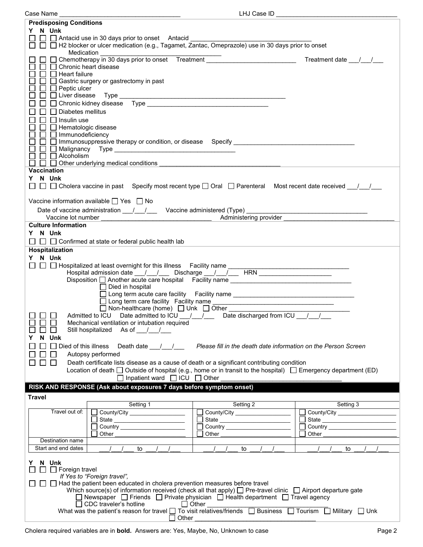| Case Name                                                                                                                                                                                  | LHJ Case ID                                                                         |              |  |  |  |
|--------------------------------------------------------------------------------------------------------------------------------------------------------------------------------------------|-------------------------------------------------------------------------------------|--------------|--|--|--|
| <b>Predisposing Conditions</b>                                                                                                                                                             |                                                                                     |              |  |  |  |
| Y N Unk                                                                                                                                                                                    |                                                                                     |              |  |  |  |
|                                                                                                                                                                                            |                                                                                     |              |  |  |  |
| □ □ □ Antacid use in 30 days prior to onset Antacid ____________________________<br>□ □ □ H2 blocker or ulcer medication (e.g., Tagamet, Zantac, Omeprazole) use in 30 days prior to onset |                                                                                     |              |  |  |  |
| Medication                                                                                                                                                                                 |                                                                                     |              |  |  |  |
| □ Chemotherapy in 30 days prior to onset Treatment <u>■ Treatment ■ Treatment date / / /</u>                                                                                               |                                                                                     |              |  |  |  |
| □ Chronic heart disease                                                                                                                                                                    |                                                                                     |              |  |  |  |
| $\Box$ Heart failure                                                                                                                                                                       |                                                                                     |              |  |  |  |
| $\Box$ Gastric surgery or gastrectomy in past                                                                                                                                              |                                                                                     |              |  |  |  |
| $\Box$ Peptic ulcer                                                                                                                                                                        |                                                                                     |              |  |  |  |
| $\Box$ Liver disease                                                                                                                                                                       |                                                                                     |              |  |  |  |
|                                                                                                                                                                                            |                                                                                     |              |  |  |  |
| Diabetes mellitus                                                                                                                                                                          |                                                                                     |              |  |  |  |
| Insulin use<br>$\Box$<br>$\Box$                                                                                                                                                            |                                                                                     |              |  |  |  |
| $\mathsf{L}$<br>□ Hematologic disease                                                                                                                                                      |                                                                                     |              |  |  |  |
| $\Box$ Immunodeficiency                                                                                                                                                                    |                                                                                     |              |  |  |  |
| □ Immunosuppressive therapy or condition, or disease Specify ___________________<br>$\Box$                                                                                                 |                                                                                     |              |  |  |  |
| ப                                                                                                                                                                                          |                                                                                     |              |  |  |  |
| $\Box$ Alcoholism                                                                                                                                                                          |                                                                                     |              |  |  |  |
| $\Box$ $\Box$ Other underlying medical conditions                                                                                                                                          |                                                                                     |              |  |  |  |
| <b>Vaccination</b>                                                                                                                                                                         |                                                                                     |              |  |  |  |
| Y N Unk                                                                                                                                                                                    |                                                                                     |              |  |  |  |
| $\Box$ $\Box$ $\Box$ Cholera vaccine in past Specify most recent type $\Box$ Oral $\Box$ Parenteral Most recent date received __/__/__                                                     |                                                                                     |              |  |  |  |
|                                                                                                                                                                                            |                                                                                     |              |  |  |  |
|                                                                                                                                                                                            |                                                                                     |              |  |  |  |
| Vaccine information available $\Box$ Yes $\Box$ No                                                                                                                                         |                                                                                     |              |  |  |  |
| Date of vaccine administration 11/2000 Vaccine administered (Type) 2008. [2010]                                                                                                            |                                                                                     |              |  |  |  |
| Vaccine lot number                                                                                                                                                                         | Machinistering provider and the matter of the matter of the Machinistering provider |              |  |  |  |
| <b>Culture Information</b>                                                                                                                                                                 |                                                                                     |              |  |  |  |
| Y N Unk                                                                                                                                                                                    |                                                                                     |              |  |  |  |
| $\Box$ $\Box$ Confirmed at state or federal public health lab<br>ப                                                                                                                         |                                                                                     |              |  |  |  |
| Hospitalization                                                                                                                                                                            |                                                                                     |              |  |  |  |
|                                                                                                                                                                                            |                                                                                     |              |  |  |  |
| Y N Unk                                                                                                                                                                                    |                                                                                     |              |  |  |  |
|                                                                                                                                                                                            |                                                                                     |              |  |  |  |
|                                                                                                                                                                                            |                                                                                     |              |  |  |  |
| Disposition □ Another acute care hospital Facility name _________________________                                                                                                          |                                                                                     |              |  |  |  |
| $\Box$ Died in hospital                                                                                                                                                                    |                                                                                     |              |  |  |  |
|                                                                                                                                                                                            | □ Long term acute care facility Facility name __________________________________    |              |  |  |  |
|                                                                                                                                                                                            |                                                                                     |              |  |  |  |
| □ Long term care facility Facility name<br>□ Non-healthcare (home) □ Unk □ Other<br>Admitted to ICU Date admitted to ICU / / / Date discharged from ICU / / /                              |                                                                                     |              |  |  |  |
|                                                                                                                                                                                            |                                                                                     |              |  |  |  |
| Mechanical ventilation or intubation required                                                                                                                                              |                                                                                     |              |  |  |  |
| Still hospitalized As of //                                                                                                                                                                |                                                                                     |              |  |  |  |
| N Unk<br>Y                                                                                                                                                                                 |                                                                                     |              |  |  |  |
| $\Box$ Died of this illness<br>Death date $\frac{1}{\sqrt{2}}$<br>$\blacksquare$                                                                                                           | Please fill in the death date information on the Person Screen                      |              |  |  |  |
| Autopsy performed<br>$\Box$                                                                                                                                                                |                                                                                     |              |  |  |  |
| $\Box$<br>$\Box$<br>Death certificate lists disease as a cause of death or a significant contributing condition                                                                            |                                                                                     |              |  |  |  |
| Location of death $\Box$ Outside of hospital (e.g., home or in transit to the hospital) $\Box$ Emergency department (ED)                                                                   |                                                                                     |              |  |  |  |
| $\Box$ Inpatient ward $\Box$ ICU $\Box$ Other                                                                                                                                              |                                                                                     |              |  |  |  |
|                                                                                                                                                                                            |                                                                                     |              |  |  |  |
| RISK AND RESPONSE (Ask about exposures 7 days before symptom onset)                                                                                                                        |                                                                                     |              |  |  |  |
| <b>Travel</b>                                                                                                                                                                              |                                                                                     |              |  |  |  |
| Setting 1                                                                                                                                                                                  | Setting 2                                                                           | Setting 3    |  |  |  |
| Travel out of:<br>County/City ____________________                                                                                                                                         |                                                                                     | $\sim$       |  |  |  |
| State ____________________________                                                                                                                                                         |                                                                                     |              |  |  |  |
|                                                                                                                                                                                            |                                                                                     | $\mathsf{L}$ |  |  |  |
| Other                                                                                                                                                                                      | Other                                                                               | Other        |  |  |  |
| Destination name                                                                                                                                                                           |                                                                                     |              |  |  |  |
| Start and end dates<br>to<br>$\sqrt{2}$                                                                                                                                                    | to                                                                                  | to           |  |  |  |
|                                                                                                                                                                                            |                                                                                     |              |  |  |  |
| N Unk<br>Y                                                                                                                                                                                 |                                                                                     |              |  |  |  |
| $\Box$ Foreign travel<br>$\perp$                                                                                                                                                           |                                                                                     |              |  |  |  |
| If Yes to "Foreign travel",                                                                                                                                                                |                                                                                     |              |  |  |  |
| Had the patient been educated in cholera prevention measures before travel                                                                                                                 |                                                                                     |              |  |  |  |
| Which source(s) of information received (check all that apply) $\Box$ Pre-travel clinic $\Box$ Airport departure gate                                                                      |                                                                                     |              |  |  |  |
| Newspaper $\Box$ Friends $\Box$ Private physician $\Box$ Health department $\Box$ Travel agency                                                                                            |                                                                                     |              |  |  |  |
| $\Box$ CDC traveler's hotline<br>$\Box$ Other                                                                                                                                              |                                                                                     |              |  |  |  |
| What was the patient's reason for travel $\Box$ To visit relatives/friends $\Box$ Business $\Box$ Tourism $\Box$ Military $\Box$ Unk                                                       |                                                                                     |              |  |  |  |
| Other                                                                                                                                                                                      |                                                                                     |              |  |  |  |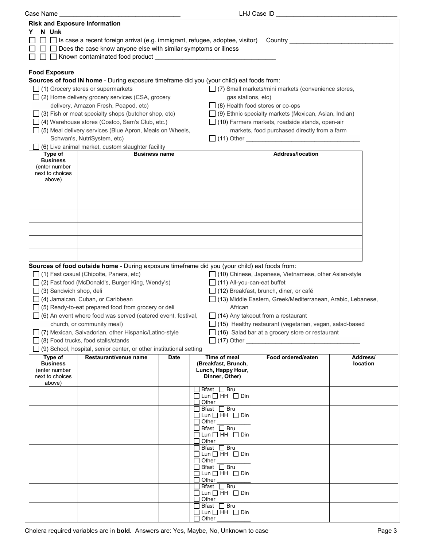| Case Name                            |                                                                                                                                                               |      |                                                 | LHJ Case ID                                                  |          |  |  |  |
|--------------------------------------|---------------------------------------------------------------------------------------------------------------------------------------------------------------|------|-------------------------------------------------|--------------------------------------------------------------|----------|--|--|--|
| <b>Risk and Exposure Information</b> |                                                                                                                                                               |      |                                                 |                                                              |          |  |  |  |
| N Unk<br>Y.                          |                                                                                                                                                               |      |                                                 |                                                              |          |  |  |  |
|                                      |                                                                                                                                                               |      |                                                 | Country _____________                                        |          |  |  |  |
|                                      | $\Box$ Is case a recent foreign arrival (e.g. immigrant, refugee, adoptee, visitor)<br>$\Box$ Does the case know anyone else with similar symptoms or illness |      |                                                 |                                                              |          |  |  |  |
|                                      |                                                                                                                                                               |      |                                                 |                                                              |          |  |  |  |
|                                      |                                                                                                                                                               |      |                                                 |                                                              |          |  |  |  |
| <b>Food Exposure</b>                 |                                                                                                                                                               |      |                                                 |                                                              |          |  |  |  |
|                                      | Sources of food IN home - During exposure timeframe did you (your child) eat foods from:                                                                      |      |                                                 |                                                              |          |  |  |  |
|                                      |                                                                                                                                                               |      |                                                 |                                                              |          |  |  |  |
|                                      | $\Box$ (1) Grocery stores or supermarkets                                                                                                                     |      |                                                 | $\Box$ (7) Small markets/mini markets (convenience stores,   |          |  |  |  |
|                                      | $\Box$ (2) Home delivery grocery services (CSA, grocery                                                                                                       |      | gas stations, etc)                              |                                                              |          |  |  |  |
|                                      | delivery, Amazon Fresh, Peapod, etc)                                                                                                                          |      |                                                 | $\Box$ (8) Health food stores or co-ops                      |          |  |  |  |
|                                      | $\Box$ (3) Fish or meat specialty shops (butcher shop, etc)                                                                                                   |      |                                                 | $\Box$ (9) Ethnic specialty markets (Mexican, Asian, Indian) |          |  |  |  |
|                                      | □ (4) Warehouse stores (Costco, Sam's Club, etc.)                                                                                                             |      |                                                 | $\Box$ (10) Farmers markets, roadside stands, open-air       |          |  |  |  |
|                                      | $\Box$ (5) Meal delivery services (Blue Apron, Meals on Wheels,                                                                                               |      |                                                 | markets, food purchased directly from a farm                 |          |  |  |  |
|                                      | Schwan's, NutriSystem, etc)                                                                                                                                   |      |                                                 |                                                              |          |  |  |  |
|                                      | (6) Live animal market, custom slaughter facility                                                                                                             |      |                                                 |                                                              |          |  |  |  |
| Type of                              | <b>Business name</b>                                                                                                                                          |      |                                                 | <b>Address/location</b>                                      |          |  |  |  |
| <b>Business</b>                      |                                                                                                                                                               |      |                                                 |                                                              |          |  |  |  |
| (enter number<br>next to choices     |                                                                                                                                                               |      |                                                 |                                                              |          |  |  |  |
| above)                               |                                                                                                                                                               |      |                                                 |                                                              |          |  |  |  |
|                                      |                                                                                                                                                               |      |                                                 |                                                              |          |  |  |  |
|                                      |                                                                                                                                                               |      |                                                 |                                                              |          |  |  |  |
|                                      |                                                                                                                                                               |      |                                                 |                                                              |          |  |  |  |
|                                      |                                                                                                                                                               |      |                                                 |                                                              |          |  |  |  |
|                                      |                                                                                                                                                               |      |                                                 |                                                              |          |  |  |  |
|                                      |                                                                                                                                                               |      |                                                 |                                                              |          |  |  |  |
|                                      |                                                                                                                                                               |      |                                                 |                                                              |          |  |  |  |
|                                      |                                                                                                                                                               |      |                                                 |                                                              |          |  |  |  |
|                                      |                                                                                                                                                               |      |                                                 |                                                              |          |  |  |  |
|                                      |                                                                                                                                                               |      |                                                 |                                                              |          |  |  |  |
|                                      | Sources of food outside home - During exposure timeframe did you (your child) eat foods from:                                                                 |      |                                                 |                                                              |          |  |  |  |
|                                      | $\Box$ (1) Fast casual (Chipolte, Panera, etc)                                                                                                                |      |                                                 | □ (10) Chinese, Japanese, Vietnamese, other Asian-style      |          |  |  |  |
|                                      | □ (2) Fast food (McDonald's, Burger King, Wendy's)<br>$\Box$ (11) All-you-can-eat buffet                                                                      |      |                                                 |                                                              |          |  |  |  |
|                                      | $\Box$ (3) Sandwich shop, deli<br>$\Box$ (12) Breakfast, brunch, diner, or café                                                                               |      |                                                 |                                                              |          |  |  |  |
|                                      | □ (4) Jamaican, Cuban, or Caribbean<br>□ (13) Middle Eastern, Greek/Mediterranean, Arabic, Lebanese,                                                          |      |                                                 |                                                              |          |  |  |  |
|                                      |                                                                                                                                                               |      |                                                 |                                                              |          |  |  |  |
|                                      | $\Box$ (5) Ready-to-eat prepared food from grocery or deli<br>African                                                                                         |      |                                                 |                                                              |          |  |  |  |
|                                      | $\Box$ (6) An event where food was served (catered event, festival,<br>$\Box$ (14) Any takeout from a restaurant                                              |      |                                                 |                                                              |          |  |  |  |
|                                      | □ (15) Healthy restaurant (vegetarian, vegan, salad-based<br>church, or community meal)                                                                       |      |                                                 |                                                              |          |  |  |  |
|                                      | □ (7) Mexican, Salvadorian, other Hispanic/Latino-style<br>$\Box$ (16) Salad bar at a grocery store or restaurant                                             |      |                                                 |                                                              |          |  |  |  |
|                                      | $\Box$ (8) Food trucks, food stalls/stands<br>$\Box$ (17) Other                                                                                               |      |                                                 |                                                              |          |  |  |  |
|                                      | $\Box$ (9) School, hospital, senior center, or other institutional setting                                                                                    |      |                                                 |                                                              |          |  |  |  |
| Type of                              | Restaurant/venue name                                                                                                                                         | Date | <b>Time of meal</b>                             | Food ordered/eaten                                           | Address/ |  |  |  |
| <b>Business</b>                      |                                                                                                                                                               |      | (Breakfast, Brunch,                             |                                                              | location |  |  |  |
| (enter number<br>next to choices     |                                                                                                                                                               |      | Lunch, Happy Hour,<br>Dinner, Other)            |                                                              |          |  |  |  |
| above)                               |                                                                                                                                                               |      |                                                 |                                                              |          |  |  |  |
|                                      |                                                                                                                                                               |      | $\Box$ Bfast $\Box$ Bru                         |                                                              |          |  |  |  |
|                                      |                                                                                                                                                               |      | $\Box$ Lun $\Box$ HH $\Box$ Din                 |                                                              |          |  |  |  |
|                                      |                                                                                                                                                               |      | $\Box$ Other<br>$\Box$ Bfast $\Box$ Bru         |                                                              |          |  |  |  |
|                                      |                                                                                                                                                               |      | $\Box$ Lun $\Box$ HH $\Box$ Din                 |                                                              |          |  |  |  |
|                                      |                                                                                                                                                               |      | $\Box$ Other                                    |                                                              |          |  |  |  |
|                                      |                                                                                                                                                               |      | $\Box$ Bfast $\Box$ Bru                         |                                                              |          |  |  |  |
|                                      |                                                                                                                                                               |      | $\Box$ Lun $\Box$ HH $\Box$ Din<br>$\Box$ Other |                                                              |          |  |  |  |
|                                      |                                                                                                                                                               |      | $\Box$ Bfast $\Box$ Bru                         |                                                              |          |  |  |  |
|                                      |                                                                                                                                                               |      | $\Box$ Lun $\Box$ HH $\Box$ Din                 |                                                              |          |  |  |  |
|                                      |                                                                                                                                                               |      | $\Box$ Other                                    |                                                              |          |  |  |  |
|                                      |                                                                                                                                                               |      | $\Box$ Bfast $\Box$ Bru                         |                                                              |          |  |  |  |
|                                      |                                                                                                                                                               |      | $\Box$ Lun $\Box$ HH $\Box$ Din<br>$\Box$ Other |                                                              |          |  |  |  |
|                                      |                                                                                                                                                               |      | Bfast Bru                                       |                                                              |          |  |  |  |
|                                      |                                                                                                                                                               |      | $\Box$ Lun $\Box$ HH $\Box$ Din                 |                                                              |          |  |  |  |
|                                      |                                                                                                                                                               |      | $\Box$ Other                                    |                                                              |          |  |  |  |
|                                      |                                                                                                                                                               |      | $\Box$ Bfast $\Box$ Bru                         |                                                              |          |  |  |  |
|                                      |                                                                                                                                                               |      | $\Box$ Lun $\Box$ HH $\Box$ Din<br>$\Box$ Other |                                                              |          |  |  |  |
|                                      |                                                                                                                                                               |      |                                                 |                                                              |          |  |  |  |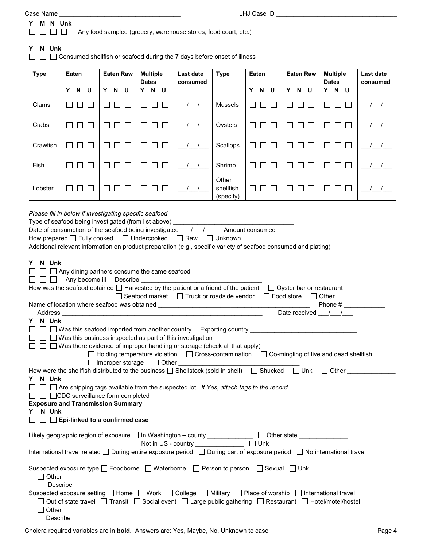| Case Name                                                                                                                                                                                                                                                                                                                                 |                       |                             |                                 |                                                                                                         |                                 | LHJ Case ID _________         |                               |                                 |                       |
|-------------------------------------------------------------------------------------------------------------------------------------------------------------------------------------------------------------------------------------------------------------------------------------------------------------------------------------------|-----------------------|-----------------------------|---------------------------------|---------------------------------------------------------------------------------------------------------|---------------------------------|-------------------------------|-------------------------------|---------------------------------|-----------------------|
| M N Unk<br>Y<br>$\Box$ $\Box$ $\Box$                                                                                                                                                                                                                                                                                                      |                       |                             |                                 |                                                                                                         |                                 |                               |                               |                                 |                       |
| Any food sampled (grocery, warehouse stores, food court, etc.) _________________                                                                                                                                                                                                                                                          |                       |                             |                                 |                                                                                                         |                                 |                               |                               |                                 |                       |
| N Unk<br>Y<br>$\Box$ $\Box$ Consumed shellfish or seafood during the 7 days before onset of illness                                                                                                                                                                                                                                       |                       |                             |                                 |                                                                                                         |                                 |                               |                               |                                 |                       |
| <b>Type</b>                                                                                                                                                                                                                                                                                                                               | Eaten                 | <b>Eaten Raw</b>            | <b>Multiple</b><br><b>Dates</b> | Last date<br>consumed                                                                                   | <b>Type</b>                     | Eaten                         | <b>Eaten Raw</b>              | <b>Multiple</b><br><b>Dates</b> | Last date<br>consumed |
|                                                                                                                                                                                                                                                                                                                                           | Y N U                 | Y N U                       | Y N U                           |                                                                                                         |                                 | Y N U                         | Y N U                         | Y N U                           |                       |
| Clams                                                                                                                                                                                                                                                                                                                                     | <b>LILI</b><br>$\Box$ | $\Box$<br>$\Box$<br>$\Box$  | □ □ □                           |                                                                                                         | Mussels                         | $\Box$<br>ப                   | Ш<br>⊔⊔                       | $\Box$ $\Box$ $\Box$            |                       |
| Crabs                                                                                                                                                                                                                                                                                                                                     | $\Box$ $\Box$ $\Box$  | $\Box$ $\Box$<br>$\Box$     | $\Box$ $\Box$                   |                                                                                                         | Oysters                         | $\square$ $\square$ $\square$ | $\Box$ $\Box$ $\Box$          | $\Box$ $\Box$ $\Box$            |                       |
| Crawfish                                                                                                                                                                                                                                                                                                                                  | □□<br>$\Box$          | $\Box$ $\Box$<br>$\Box$     | 8888                            |                                                                                                         | Scallops                        | U∪⊔                           | □ □ □                         | $\Box$ $\Box$<br>$\mathbf{L}$   |                       |
| Fish                                                                                                                                                                                                                                                                                                                                      | $\Box$ $\Box$ $\Box$  | $\Box$                      | $\Box$ $\Box$                   |                                                                                                         | Shrimp                          | 88 8 8                        | $\Box$ $\Box$                 | 88 8 8                          | $\frac{1}{2}$         |
| Lobster                                                                                                                                                                                                                                                                                                                                   | 8888                  | $\Box$<br>$\perp$<br>$\Box$ | <b>TELESCOPE</b><br>$\Box$      |                                                                                                         | Other<br>shellfish<br>(specify) | U∪⊔                           | $\square$ $\square$ $\square$ | $\Box$ $\Box$ $\Box$            |                       |
| N Unk<br>Y.<br>$\Box$ Any dining partners consume the same seafood<br>Any become ill Describe<br>$\Box$<br>How was the seafood obtained $\Box$ Harvested by the patient or a friend of the patient<br>$\Box$ Oyster bar or restaurant<br>$\Box$ Seafood market $\Box$ Truck or roadside vendor<br>□ Food store □ Other<br>Phone #         |                       |                             |                                 |                                                                                                         |                                 |                               |                               |                                 |                       |
| Address<br>N Unk<br>Y                                                                                                                                                                                                                                                                                                                     |                       |                             |                                 |                                                                                                         |                                 |                               | Date received / /             |                                 |                       |
| $\Box$ $\Box$ Was this seafood imported from another country Exporting country $\Box$ Was this seafood imported from another country Exporting country<br>$\Box$ Was this business inspected as part of this investigation                                                                                                                |                       |                             |                                 |                                                                                                         |                                 |                               |                               |                                 |                       |
| $\Box$ Was there evidence of improper handling or storage (check all that apply)                                                                                                                                                                                                                                                          |                       |                             |                                 |                                                                                                         |                                 |                               |                               |                                 |                       |
| $\Box$ Holding temperature violation $\Box$ Cross-contamination $\Box$ Co-mingling of live and dead shellfish                                                                                                                                                                                                                             |                       |                             |                                 |                                                                                                         |                                 |                               |                               |                                 |                       |
| How were the shellfish distributed to the business [ ] Shellstock (sold in shell) [ ] Shucked [ ] Unk [ ] Other<br>Y N Unk                                                                                                                                                                                                                |                       |                             |                                 |                                                                                                         |                                 |                               |                               |                                 |                       |
| $\Box$ Are shipping tags available from the suspected lot If Yes, attach tags to the record                                                                                                                                                                                                                                               |                       |                             |                                 |                                                                                                         |                                 |                               |                               |                                 |                       |
| $\Box$ $\Box$ $\Box$ CDC surveillance form completed<br><b>Exposure and Transmission Summary</b>                                                                                                                                                                                                                                          |                       |                             |                                 |                                                                                                         |                                 |                               |                               |                                 |                       |
| Y N Unk<br>$\Box$ $\Box$ Epi-linked to a confirmed case                                                                                                                                                                                                                                                                                   |                       |                             |                                 |                                                                                                         |                                 |                               |                               |                                 |                       |
| Likely geographic region of exposure □ In Washington – county _______________ □ Other state _____________                                                                                                                                                                                                                                 |                       |                             |                                 |                                                                                                         |                                 |                               |                               |                                 |                       |
| International travel related □ During entire exposure period □ During part of exposure period □ No international travel                                                                                                                                                                                                                   |                       |                             |                                 |                                                                                                         |                                 |                               |                               |                                 |                       |
| Suspected exposure type □ Foodborne □ Waterborne □ Person to person □ Sexual □ Unk                                                                                                                                                                                                                                                        |                       |                             |                                 |                                                                                                         |                                 |                               |                               |                                 |                       |
| Describe and the contract of the contract of the contract of the contract of the contract of the contract of the contract of the contract of the contract of the contract of the contract of the contract of the contract of t<br>Suspected exposure setting   Home   Work   College   Military   Place of worship   International travel |                       |                             |                                 |                                                                                                         |                                 |                               |                               |                                 |                       |
|                                                                                                                                                                                                                                                                                                                                           |                       |                             |                                 | Out of state travel □ Transit □ Social event □ Large public gathering □ Restaurant □ Hotel/motel/hostel |                                 |                               |                               |                                 |                       |

 ${\sf Describe}$ 

 $\Box$  Other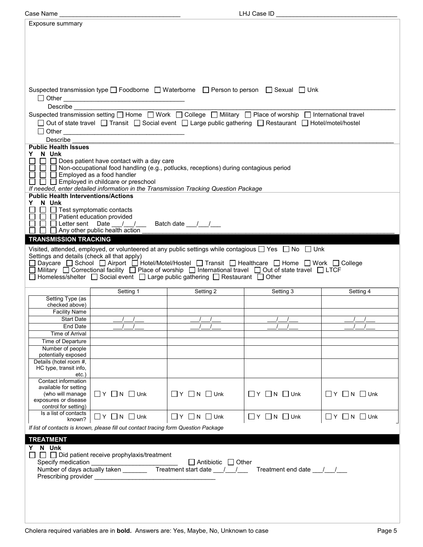| Exposure summary                             |                                                                                                                                                                                                                                                     |                                                                                                                     |                              |                              |  |  |  |
|----------------------------------------------|-----------------------------------------------------------------------------------------------------------------------------------------------------------------------------------------------------------------------------------------------------|---------------------------------------------------------------------------------------------------------------------|------------------------------|------------------------------|--|--|--|
|                                              |                                                                                                                                                                                                                                                     |                                                                                                                     |                              |                              |  |  |  |
|                                              |                                                                                                                                                                                                                                                     |                                                                                                                     |                              |                              |  |  |  |
|                                              |                                                                                                                                                                                                                                                     |                                                                                                                     |                              |                              |  |  |  |
|                                              |                                                                                                                                                                                                                                                     |                                                                                                                     |                              |                              |  |  |  |
|                                              |                                                                                                                                                                                                                                                     |                                                                                                                     |                              |                              |  |  |  |
|                                              |                                                                                                                                                                                                                                                     |                                                                                                                     |                              |                              |  |  |  |
|                                              |                                                                                                                                                                                                                                                     |                                                                                                                     |                              |                              |  |  |  |
|                                              |                                                                                                                                                                                                                                                     |                                                                                                                     |                              |                              |  |  |  |
|                                              |                                                                                                                                                                                                                                                     |                                                                                                                     |                              |                              |  |  |  |
|                                              |                                                                                                                                                                                                                                                     | Suspected transmission type □ Foodborne □ Waterborne □ Person to person □ Sexual □ Unk                              |                              |                              |  |  |  |
|                                              |                                                                                                                                                                                                                                                     |                                                                                                                     |                              |                              |  |  |  |
|                                              |                                                                                                                                                                                                                                                     |                                                                                                                     |                              |                              |  |  |  |
|                                              |                                                                                                                                                                                                                                                     |                                                                                                                     |                              |                              |  |  |  |
|                                              |                                                                                                                                                                                                                                                     | □ Out of state travel □ Transit □ Social event □ Large public gathering □ Restaurant □ Hotel/motel/hostel           |                              |                              |  |  |  |
|                                              |                                                                                                                                                                                                                                                     |                                                                                                                     |                              |                              |  |  |  |
|                                              |                                                                                                                                                                                                                                                     |                                                                                                                     |                              |                              |  |  |  |
| <b>Public Health Issues</b>                  |                                                                                                                                                                                                                                                     |                                                                                                                     |                              |                              |  |  |  |
| Y N Unk                                      | $\Box$ Does patient have contact with a day care                                                                                                                                                                                                    |                                                                                                                     |                              |                              |  |  |  |
|                                              |                                                                                                                                                                                                                                                     | $\Box$ $\Box$ Non-occupational food handling (e.g., potlucks, receptions) during contagious period                  |                              |                              |  |  |  |
| $\Box$ $\Box$ Employed as a food handler     |                                                                                                                                                                                                                                                     |                                                                                                                     |                              |                              |  |  |  |
|                                              | $\Box$ $\Box$ Employed in childcare or preschool                                                                                                                                                                                                    |                                                                                                                     |                              |                              |  |  |  |
|                                              |                                                                                                                                                                                                                                                     | If needed, enter detailed information in the Transmission Tracking Question Package                                 |                              |                              |  |  |  |
| <b>Public Health Interventions/Actions</b>   |                                                                                                                                                                                                                                                     |                                                                                                                     |                              |                              |  |  |  |
| Y N Unk<br>$\Box$ Test symptomatic contacts  |                                                                                                                                                                                                                                                     |                                                                                                                     |                              |                              |  |  |  |
| $\Box$ Patient education provided            |                                                                                                                                                                                                                                                     |                                                                                                                     |                              |                              |  |  |  |
|                                              |                                                                                                                                                                                                                                                     |                                                                                                                     |                              |                              |  |  |  |
|                                              | □ □ □ Letter sent Date / / / Batch date / /<br>□ □ □ Any other public health action                                                                                                                                                                 |                                                                                                                     |                              |                              |  |  |  |
| <b>TRANSMISSION TRACKING</b>                 |                                                                                                                                                                                                                                                     |                                                                                                                     |                              |                              |  |  |  |
|                                              |                                                                                                                                                                                                                                                     | Visited, attended, employed, or volunteered at any public settings while contagious $\Box$ Yes $\Box$ No $\Box$ Unk |                              |                              |  |  |  |
| Settings and details (check all that apply)  |                                                                                                                                                                                                                                                     |                                                                                                                     |                              |                              |  |  |  |
|                                              | □ Daycare □ School □ Airport □ Hotel/Motel/Hostel □ Transit □ Healthcare □ Home □ Work □ College                                                                                                                                                    |                                                                                                                     |                              |                              |  |  |  |
|                                              | $\Box$ Military $\Box$ Correctional facility $\Box$ Place of worship $\Box$ International travel $\Box$ Out of state travel $\Box$ LTCF<br>$\Box$ Homeless/shelter $\Box$ Social event $\Box$ Large public gathering $\Box$ Restaurant $\Box$ Other |                                                                                                                     |                              |                              |  |  |  |
|                                              |                                                                                                                                                                                                                                                     |                                                                                                                     |                              |                              |  |  |  |
|                                              | Setting 1                                                                                                                                                                                                                                           | Setting 2                                                                                                           | Setting 3                    | Setting 4                    |  |  |  |
| Setting Type (as                             |                                                                                                                                                                                                                                                     |                                                                                                                     |                              |                              |  |  |  |
| checked above)                               |                                                                                                                                                                                                                                                     |                                                                                                                     |                              |                              |  |  |  |
|                                              |                                                                                                                                                                                                                                                     |                                                                                                                     |                              |                              |  |  |  |
| <b>Facility Name</b>                         |                                                                                                                                                                                                                                                     |                                                                                                                     |                              |                              |  |  |  |
| Start Date                                   |                                                                                                                                                                                                                                                     |                                                                                                                     |                              |                              |  |  |  |
| <b>End Date</b>                              |                                                                                                                                                                                                                                                     |                                                                                                                     |                              |                              |  |  |  |
| <b>Time of Arrival</b>                       |                                                                                                                                                                                                                                                     |                                                                                                                     |                              |                              |  |  |  |
| Time of Departure                            |                                                                                                                                                                                                                                                     |                                                                                                                     |                              |                              |  |  |  |
| Number of people<br>potentially exposed      |                                                                                                                                                                                                                                                     |                                                                                                                     |                              |                              |  |  |  |
| Details (hotel room #,                       |                                                                                                                                                                                                                                                     |                                                                                                                     |                              |                              |  |  |  |
| HC type, transit info,                       |                                                                                                                                                                                                                                                     |                                                                                                                     |                              |                              |  |  |  |
| etc.)                                        |                                                                                                                                                                                                                                                     |                                                                                                                     |                              |                              |  |  |  |
| Contact information<br>available for setting |                                                                                                                                                                                                                                                     |                                                                                                                     |                              |                              |  |  |  |
| (who will manage                             | $\Box$ $Y$ $\Box$ $N$ $\Box$ Unk                                                                                                                                                                                                                    | $\Box$ $Y$ $\Box$ $N$ $\Box$ Unk                                                                                    | $\Box Y$ $\Box N$ $\Box$ Unk | $\Box$ Y $\Box$ N $\Box$ Unk |  |  |  |
| exposures or disease                         |                                                                                                                                                                                                                                                     |                                                                                                                     |                              |                              |  |  |  |
| control for setting)                         |                                                                                                                                                                                                                                                     |                                                                                                                     |                              |                              |  |  |  |
| Is a list of contacts<br>known?              | $\Box$ Y $\Box$ N $\Box$ Unk                                                                                                                                                                                                                        | $\Box$ Y $\Box$ N $\Box$ Unk                                                                                        | $\Box$ Y $\Box$ N $\Box$ Unk | $\Box$ Y $\Box$ N $\Box$ Unk |  |  |  |
|                                              | If list of contacts is known, please fill out contact tracing form Question Package                                                                                                                                                                 |                                                                                                                     |                              |                              |  |  |  |
|                                              |                                                                                                                                                                                                                                                     |                                                                                                                     |                              |                              |  |  |  |
| <b>TREATMENT</b>                             |                                                                                                                                                                                                                                                     |                                                                                                                     |                              |                              |  |  |  |
| Y N Unk                                      |                                                                                                                                                                                                                                                     |                                                                                                                     |                              |                              |  |  |  |
|                                              | $\Box$ Did patient receive prophylaxis/treatment                                                                                                                                                                                                    |                                                                                                                     |                              |                              |  |  |  |
| Specify medication                           |                                                                                                                                                                                                                                                     | □ Antibiotic □ Other                                                                                                | Treatment end date 1.        |                              |  |  |  |
|                                              |                                                                                                                                                                                                                                                     |                                                                                                                     |                              |                              |  |  |  |
|                                              |                                                                                                                                                                                                                                                     |                                                                                                                     |                              |                              |  |  |  |
|                                              |                                                                                                                                                                                                                                                     |                                                                                                                     |                              |                              |  |  |  |
|                                              |                                                                                                                                                                                                                                                     |                                                                                                                     |                              |                              |  |  |  |
|                                              |                                                                                                                                                                                                                                                     |                                                                                                                     |                              |                              |  |  |  |